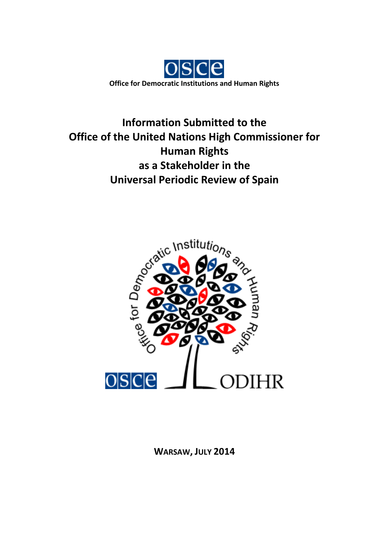

**Information Submitted to the Office of the United Nations High Commissioner for Human Rights as a Stakeholder in the Universal Periodic Review of Spain**



**WARSAW, JULY 2014**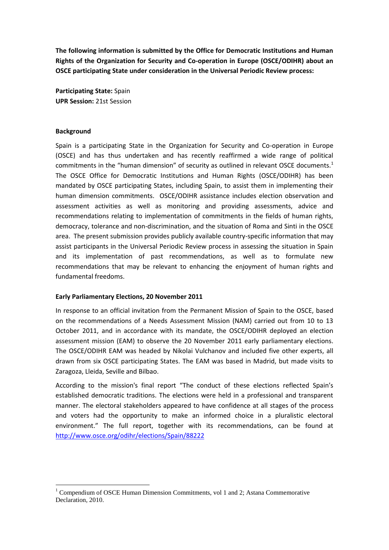**The following information is submitted by the Office for Democratic Institutions and Human Rights of the Organization for Security and Co-operation in Europe (OSCE/ODIHR) about an OSCE participating State under consideration in the Universal Periodic Review process:**

**Participating State:** Spain **UPR Session:** 21st Session

#### **Background**

<u>.</u>

Spain is a participating State in the Organization for Security and Co-operation in Europe (OSCE) and has thus undertaken and has recently reaffirmed a wide range of political commitments in the "human dimension" of security as outlined in relevant OSCE documents.<sup>1</sup> The OSCE Office for Democratic Institutions and Human Rights (OSCE/ODIHR) has been mandated by OSCE participating States, including Spain, to assist them in implementing their human dimension commitments. OSCE/ODIHR assistance includes election observation and assessment activities as well as monitoring and providing assessments, advice and recommendations relating to implementation of commitments in the fields of human rights, democracy, tolerance and non-discrimination, and the situation of Roma and Sinti in the OSCE area. The present submission provides publicly available country-specific information that may assist participants in the Universal Periodic Review process in assessing the situation in Spain and its implementation of past recommendations, as well as to formulate new recommendations that may be relevant to enhancing the enjoyment of human rights and fundamental freedoms.

### **Early Parliamentary Elections, 20 November 2011**

In response to an official invitation from the Permanent Mission of Spain to the OSCE, based on the recommendations of a Needs Assessment Mission (NAM) carried out from 10 to 13 October 2011, and in accordance with its mandate, the OSCE/ODIHR deployed an election assessment mission (EAM) to observe the 20 November 2011 early parliamentary elections. The OSCE/ODIHR EAM was headed by Nikolai Vulchanov and included five other experts, all drawn from six OSCE participating States. The EAM was based in Madrid, but made visits to Zaragoza, Lleida, Seville and Bilbao.

According to the mission's final report "The conduct of these elections reflected Spain's established democratic traditions. The elections were held in a professional and transparent manner. The electoral stakeholders appeared to have confidence at all stages of the process and voters had the opportunity to make an informed choice in a pluralistic electoral environment." The full report, together with its recommendations, can be found at <http://www.osce.org/odihr/elections/Spain/88222>

<sup>&</sup>lt;sup>1</sup> Compendium of OSCE Human Dimension Commitments, vol 1 and 2; Astana Commemorative Declaration, 2010.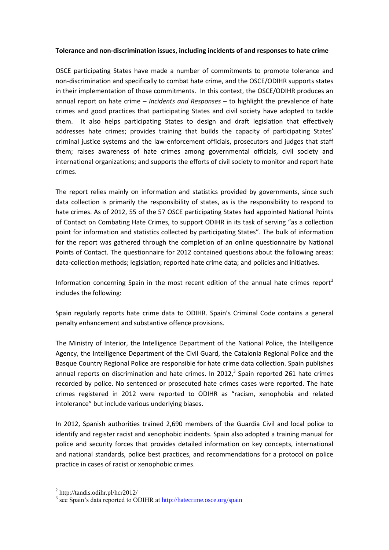### **Tolerance and non-discrimination issues, including incidents of and responses to hate crime**

OSCE participating States have made a number of commitments to promote tolerance and non-discrimination and specifically to combat hate crime, and the OSCE/ODIHR supports states in their implementation of those commitments. In this context, the OSCE/ODIHR produces an annual report on hate crime – *Incidents and Responses* – to highlight the prevalence of hate crimes and good practices that participating States and civil society have adopted to tackle them. It also helps participating States to design and draft legislation that effectively addresses hate crimes; provides training that builds the capacity of participating States' criminal justice systems and the law-enforcement officials, prosecutors and judges that staff them; raises awareness of hate crimes among governmental officials, civil society and international organizations; and supports the efforts of civil society to monitor and report hate crimes.

The report relies mainly on information and statistics provided by governments, since such data collection is primarily the responsibility of states, as is the responsibility to respond to hate crimes. As of 2012, 55 of the 57 OSCE participating States had appointed National Points of Contact on Combating Hate Crimes, to support ODIHR in its task of serving "as a collection point for information and statistics collected by participating States". The bulk of information for the report was gathered through the completion of an online questionnaire by National Points of Contact. The questionnaire for 2012 contained questions about the following areas: data-collection methods; legislation; reported hate crime data; and policies and initiatives.

Information concerning Spain in the most recent edition of the annual hate crimes report<sup>2</sup> includes the following:

Spain regularly reports hate crime data to ODIHR. Spain's Criminal Code contains a general penalty enhancement and substantive offence provisions.

The Ministry of Interior, the Intelligence Department of the National Police, the Intelligence Agency, the Intelligence Department of the Civil Guard, the Catalonia Regional Police and the Basque Country Regional Police are responsible for hate crime data collection. Spain publishes annual reports on discrimination and hate crimes. In 2012, $3$  Spain reported 261 hate crimes recorded by police. No sentenced or prosecuted hate crimes cases were reported. The hate crimes registered in 2012 were reported to ODIHR as "racism, xenophobia and related intolerance" but include various underlying biases.

In 2012, Spanish authorities trained 2,690 members of the Guardia Civil and local police to identify and register racist and xenophobic incidents. Spain also adopted a training manual for police and security forces that provides detailed information on key concepts, international and national standards, police best practices, and recommendations for a protocol on police practice in cases of racist or xenophobic crimes.

<u>.</u>

<sup>2</sup> http://tandis.odihr.pl/hcr2012/

<sup>&</sup>lt;sup>3</sup> see Spain's data reported to ODIHR at http://hatecrime.osce.org/spain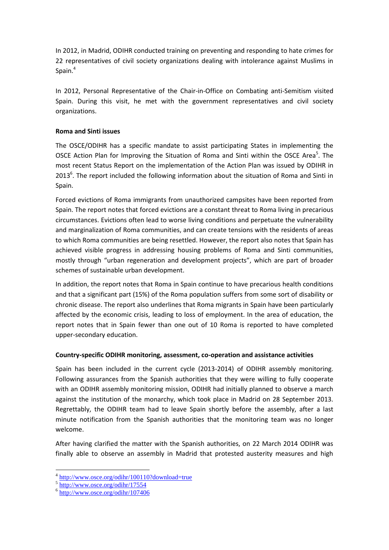In 2012, in Madrid, ODIHR conducted training on preventing and responding to hate crimes for 22 representatives of civil society organizations dealing with intolerance against Muslims in Spain.<sup>4</sup>

In 2012, Personal Representative of the Chair-in-Office on Combating anti-Semitism visited Spain. During this visit, he met with the government representatives and civil society organizations.

## **Roma and Sinti issues**

The OSCE/ODIHR has a specific mandate to assist participating States in implementing the OSCE Action Plan for Improving the Situation of Roma and Sinti within the OSCE Area<sup>5</sup>. The most recent Status Report on the implementation of the Action Plan was issued by ODIHR in 2013<sup>6</sup>. The report included the following information about the situation of Roma and Sinti in Spain.

Forced evictions of Roma immigrants from unauthorized campsites have been reported from Spain. The report notes that forced evictions are a constant threat to Roma living in precarious circumstances. Evictions often lead to worse living conditions and perpetuate the vulnerability and marginalization of Roma communities, and can create tensions with the residents of areas to which Roma communities are being resettled. However, the report also notes that Spain has achieved visible progress in addressing housing problems of Roma and Sinti communities, mostly through "urban regeneration and development projects", which are part of broader schemes of sustainable urban development.

In addition, the report notes that Roma in Spain continue to have precarious health conditions and that a significant part (15%) of the Roma population suffers from some sort of disability or chronic disease. The report also underlines that Roma migrants in Spain have been particularly affected by the economic crisis, leading to loss of employment. In the area of education, the report notes that in Spain fewer than one out of 10 Roma is reported to have completed upper-secondary education.

## **Country-specific ODIHR monitoring, assessment, co-operation and assistance activities**

Spain has been included in the current cycle (2013-2014) of ODIHR assembly monitoring. Following assurances from the Spanish authorities that they were willing to fully cooperate with an ODIHR assembly monitoring mission, ODIHR had initially planned to observe a march against the institution of the monarchy, which took place in Madrid on 28 September 2013. Regrettably, the ODIHR team had to leave Spain shortly before the assembly, after a last minute notification from the Spanish authorities that the monitoring team was no longer welcome.

After having clarified the matter with the Spanish authorities, on 22 March 2014 ODIHR was finally able to observe an assembly in Madrid that protested austerity measures and high

1

<sup>&</sup>lt;sup>4</sup> <http://www.osce.org/odihr/100110?download=true>

<sup>5</sup> <http://www.osce.org/odihr/17554>

<sup>6</sup> <http://www.osce.org/odihr/107406>